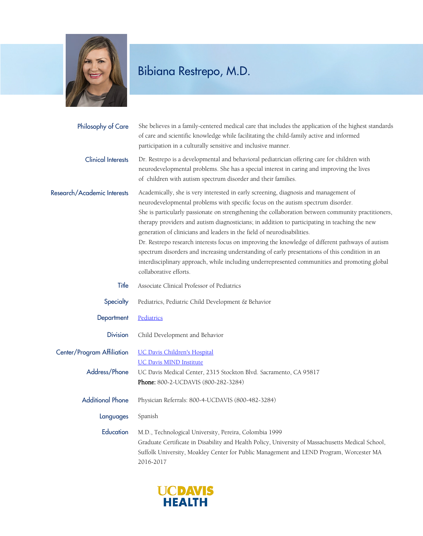

## Bibiana Restrepo, M.D.

| Philosophy of Care          | She believes in a family-centered medical care that includes the application of the highest standards<br>of care and scientific knowledge while facilitating the child-family active and informed<br>participation in a culturally sensitive and inclusive manner.                                                                                                                                                                                                                                                                                                                                                                                                                                                                                                                          |
|-----------------------------|---------------------------------------------------------------------------------------------------------------------------------------------------------------------------------------------------------------------------------------------------------------------------------------------------------------------------------------------------------------------------------------------------------------------------------------------------------------------------------------------------------------------------------------------------------------------------------------------------------------------------------------------------------------------------------------------------------------------------------------------------------------------------------------------|
| <b>Clinical Interests</b>   | Dr. Restrepo is a developmental and behavioral pediatrician offering care for children with<br>neurodevelopmental problems. She has a special interest in caring and improving the lives<br>of children with autism spectrum disorder and their families.                                                                                                                                                                                                                                                                                                                                                                                                                                                                                                                                   |
| Research/Academic Interests | Academically, she is very interested in early screening, diagnosis and management of<br>neurodevelopmental problems with specific focus on the autism spectrum disorder.<br>She is particularly passionate on strengthening the collaboration between community practitioners,<br>therapy providers and autism diagnosticians; in addition to participating in teaching the new<br>generation of clinicians and leaders in the field of neurodisabilities.<br>Dr. Restrepo research interests focus on improving the knowledge of different pathways of autism<br>spectrum disorders and increasing understanding of early presentations of this condition in an<br>interdisciplinary approach, while including underrepresented communities and promoting global<br>collaborative efforts. |
| Title                       | Associate Clinical Professor of Pediatrics                                                                                                                                                                                                                                                                                                                                                                                                                                                                                                                                                                                                                                                                                                                                                  |
| Specialty                   | Pediatrics, Pediatric Child Development & Behavior                                                                                                                                                                                                                                                                                                                                                                                                                                                                                                                                                                                                                                                                                                                                          |
| Department                  | Pediatrics                                                                                                                                                                                                                                                                                                                                                                                                                                                                                                                                                                                                                                                                                                                                                                                  |
| <b>Division</b>             | Child Development and Behavior                                                                                                                                                                                                                                                                                                                                                                                                                                                                                                                                                                                                                                                                                                                                                              |
| Center/Program Affiliation  | <b>UC Davis Children's Hospital</b><br><b>UC Davis MIND Institute</b>                                                                                                                                                                                                                                                                                                                                                                                                                                                                                                                                                                                                                                                                                                                       |
| Address/Phone               | UC Davis Medical Center, 2315 Stockton Blvd. Sacramento, CA 95817<br>Phone: 800-2-UCDAVIS (800-282-3284)                                                                                                                                                                                                                                                                                                                                                                                                                                                                                                                                                                                                                                                                                    |
|                             | Additional Phone Physician Referrals: 800-4-UCDAVIS (800-482-3284)                                                                                                                                                                                                                                                                                                                                                                                                                                                                                                                                                                                                                                                                                                                          |
| Languages                   | Spanish                                                                                                                                                                                                                                                                                                                                                                                                                                                                                                                                                                                                                                                                                                                                                                                     |
| Education                   | M.D., Technological University, Pereira, Colombia 1999<br>Graduate Certificate in Disability and Health Policy, University of Massachusetts Medical School,<br>Suffolk University, Moakley Center for Public Management and LEND Program, Worcester MA<br>2016-2017                                                                                                                                                                                                                                                                                                                                                                                                                                                                                                                         |